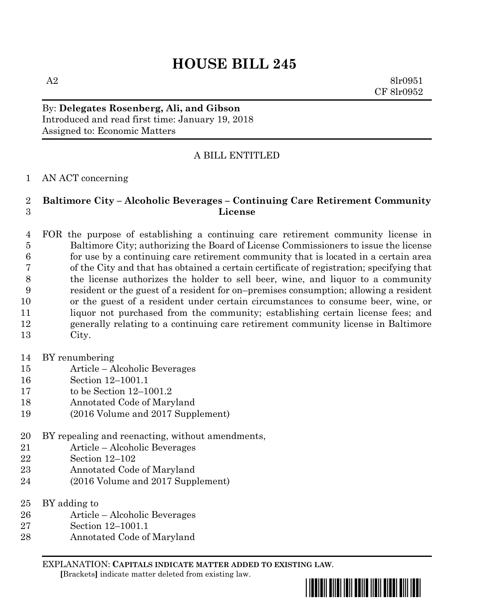# **HOUSE BILL 245**

 $A2 \qquad \qquad 8\n \text{lr}0951$ CF 8lr0952

By: **Delegates Rosenberg, Ali, and Gibson** Introduced and read first time: January 19, 2018 Assigned to: Economic Matters

## A BILL ENTITLED

AN ACT concerning

### **Baltimore City – Alcoholic Beverages – Continuing Care Retirement Community License**

 FOR the purpose of establishing a continuing care retirement community license in Baltimore City; authorizing the Board of License Commissioners to issue the license for use by a continuing care retirement community that is located in a certain area of the City and that has obtained a certain certificate of registration; specifying that the license authorizes the holder to sell beer, wine, and liquor to a community resident or the guest of a resident for on–premises consumption; allowing a resident or the guest of a resident under certain circumstances to consume beer, wine, or 11 liquor not purchased from the community; establishing certain license fees; and generally relating to a continuing care retirement community license in Baltimore City.

#### BY renumbering

- Article Alcoholic Beverages
- Section 12–1001.1
- to be Section 12–1001.2
- Annotated Code of Maryland
- (2016 Volume and 2017 Supplement)
- BY repealing and reenacting, without amendments,
- Article Alcoholic Beverages
- Section 12–102
- Annotated Code of Maryland
- (2016 Volume and 2017 Supplement)
- BY adding to
- Article Alcoholic Beverages
- Section 12–1001.1
- Annotated Code of Maryland

EXPLANATION: **CAPITALS INDICATE MATTER ADDED TO EXISTING LAW**.  **[**Brackets**]** indicate matter deleted from existing law.

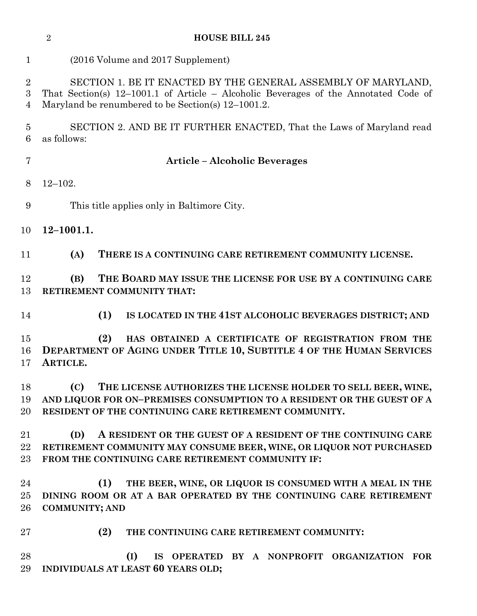| 1                                       | (2016 Volume and 2017 Supplement)                                                                                                                                                                               |
|-----------------------------------------|-----------------------------------------------------------------------------------------------------------------------------------------------------------------------------------------------------------------|
| $\overline{2}$<br>$\boldsymbol{3}$<br>4 | SECTION 1. BE IT ENACTED BY THE GENERAL ASSEMBLY OF MARYLAND,<br>That Section(s) $12-1001.1$ of Article – Alcoholic Beverages of the Annotated Code of<br>Maryland be renumbered to be Section(s) $12-1001.2$ . |
| 5<br>6                                  | SECTION 2. AND BE IT FURTHER ENACTED, That the Laws of Maryland read<br>as follows:                                                                                                                             |
| 7                                       | <b>Article - Alcoholic Beverages</b>                                                                                                                                                                            |
| 8                                       | $12 - 102.$                                                                                                                                                                                                     |
|                                         |                                                                                                                                                                                                                 |
| 9                                       | This title applies only in Baltimore City.                                                                                                                                                                      |
| 10                                      | $12 - 1001.1.$                                                                                                                                                                                                  |
| 11                                      | (A)<br>THERE IS A CONTINUING CARE RETIREMENT COMMUNITY LICENSE.                                                                                                                                                 |
| 12<br>13                                | THE BOARD MAY ISSUE THE LICENSE FOR USE BY A CONTINUING CARE<br>(B)<br>RETIREMENT COMMUNITY THAT:                                                                                                               |
| 14                                      | (1)<br>IS LOCATED IN THE 41ST ALCOHOLIC BEVERAGES DISTRICT; AND                                                                                                                                                 |
| 15<br>16<br>17                          | (2)<br>HAS OBTAINED A CERTIFICATE OF REGISTRATION FROM THE<br><b>DEPARTMENT OF AGING UNDER TITLE 10, SUBTITLE 4 OF THE HUMAN SERVICES</b><br>ARTICLE.                                                           |
| 18<br>19<br>20                          | (C)<br>THE LICENSE AUTHORIZES THE LICENSE HOLDER TO SELL BEER, WINE,<br>AND LIQUOR FOR ON-PREMISES CONSUMPTION TO A RESIDENT OR THE GUEST OF A<br>RESIDENT OF THE CONTINUING CARE RETIREMENT COMMUNITY.         |
| 21<br>22<br>23                          | A RESIDENT OR THE GUEST OF A RESIDENT OF THE CONTINUING CARE<br>(D)<br>RETIREMENT COMMUNITY MAY CONSUME BEER, WINE, OR LIQUOR NOT PURCHASED<br>FROM THE CONTINUING CARE RETIREMENT COMMUNITY IF:                |
| 24<br>25<br>26                          | THE BEER, WINE, OR LIQUOR IS CONSUMED WITH A MEAL IN THE<br>(1)<br>DINING ROOM OR AT A BAR OPERATED BY THE CONTINUING CARE RETIREMENT<br><b>COMMUNITY; AND</b>                                                  |
| 27                                      | (2)<br>THE CONTINUING CARE RETIREMENT COMMUNITY:                                                                                                                                                                |
| 28<br>29                                | (I)<br>IS OPERATED BY A NONPROFIT ORGANIZATION FOR<br>INDIVIDUALS AT LEAST 60 YEARS OLD;                                                                                                                        |

**HOUSE BILL 245**